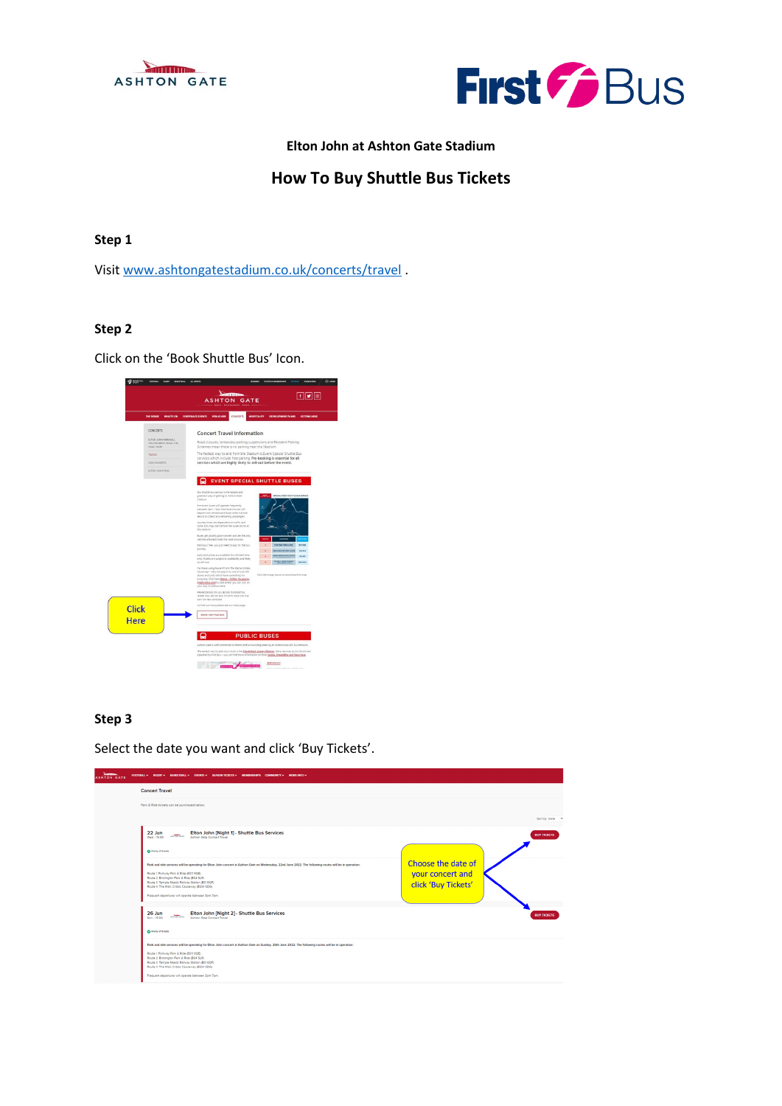



# **Elton John at Ashton Gate Stadium**

# **How To Buy Shuttle Bus Tickets**

# **Step 1**

Visit [www.ashtongatestadium.co.uk/concerts/travel](http://www.ashtongatestadium.co.uk/concerts/travel) .

#### **Step 2**

Click on the 'Book Shuttle Bus' Icon.



#### **Step 3**

Select the date you want and click 'Buy Tickets'.

| <b>Seatting</b><br>FOOTBALL V RUGBY V BASKETBALL V EVENTS V SEASON TICKETS V MEMBERSHIPS COMMUNITY V MORE INFO V<br><b>ASHTON GATE</b>                                                                                                                                                                                                                                                                    |                                                               |
|-----------------------------------------------------------------------------------------------------------------------------------------------------------------------------------------------------------------------------------------------------------------------------------------------------------------------------------------------------------------------------------------------------------|---------------------------------------------------------------|
| <b>Concert Travel</b>                                                                                                                                                                                                                                                                                                                                                                                     |                                                               |
| Park & Ride tickets can be purchased below.                                                                                                                                                                                                                                                                                                                                                               |                                                               |
|                                                                                                                                                                                                                                                                                                                                                                                                           | Sort by Date v                                                |
| Elton John [Night 1] - Shuttle Bus Services<br>22 Jun<br>ASSTON GATE<br>Ashton Gate Concert Travel<br>Wed / 15:00                                                                                                                                                                                                                                                                                         | <b>BUY TICKETS</b>                                            |
| <b>O</b> Pleny of Science                                                                                                                                                                                                                                                                                                                                                                                 |                                                               |
| Park and ride services will be operating for Elton John concert at Ashton Gate on Wednesday, 22nd June 2022. The following routes will be in operation:<br>Route 1: Portway Park & Ride (BS11 9QE)<br>Route 2: Bristington Park & Ride (BS4 SLR)<br>Route 3: Temple Meads Railway Station (BS1 6QF)<br>Route 4: The Mall, Cribbs Causeway (BS34 5DG)<br>Frequent departures will operate between 3pm-7pm. | Choose the date of<br>your concert and<br>click 'Buy Tickets' |
| Elton John [Night 2] - Shuttle Bus Services<br>26 Jun<br>ASSTON GATE<br>Ashton Gate Concert Travel<br>Sun / 15:00<br>C Pierry of Science                                                                                                                                                                                                                                                                  | <b>BUY TICKETS</b>                                            |
| Park and ride services will be operating for Elton John concert at Ashton Gate on Sunday, 26th June 2022. The following routes will be in operation:<br>Route 1: Portway Park & Ride (BS11 9QE)<br>Route 2: Brishnaton Park & Ride (BS4 5LR)<br>Route 3: Temple Meads Railway Station (BS1 6QF)<br>Route 4: The Mall, Cribbs Causeway (BS34 5DG)<br>Frequent departures will operate between 3pm-7pm.     |                                                               |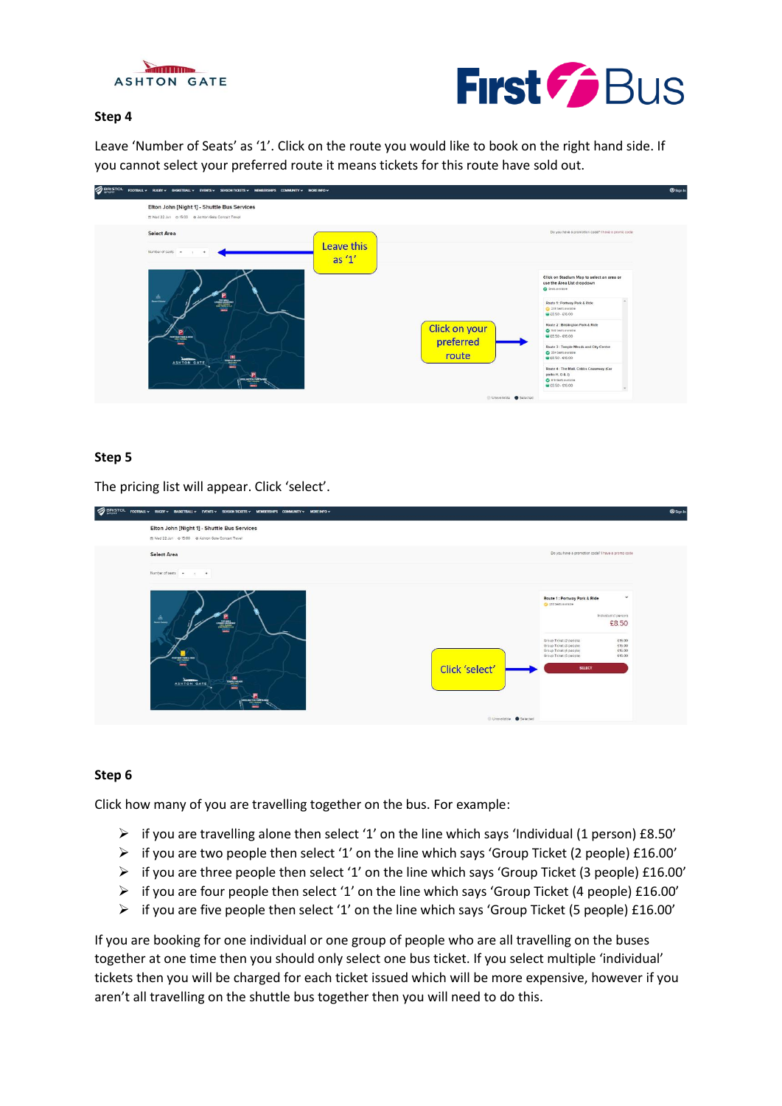



#### **Step 4**

Leave 'Number of Seats' as '1'. Click on the route you would like to book on the right hand side. If you cannot select your preferred route it means tickets for this route have sold out.

| SIGNISTOL FOOTBALLY RUGHY BASKETBALLY EVENTSY SEASONTICKETSY MEMIERSHI'S COMMUNITY MOREINFOY                           |                                                                                                                                                                                                                                                                                                                                                                                                                                                                                                                                             | <b>Sign in</b> |
|------------------------------------------------------------------------------------------------------------------------|---------------------------------------------------------------------------------------------------------------------------------------------------------------------------------------------------------------------------------------------------------------------------------------------------------------------------------------------------------------------------------------------------------------------------------------------------------------------------------------------------------------------------------------------|----------------|
| Elton John [Night 1] - Shuttle Bus Services<br>m Wed 22 Jun @ 15:00 @ Ashton Gate Concert Travel                       |                                                                                                                                                                                                                                                                                                                                                                                                                                                                                                                                             |                |
| <b>Select Area</b><br>Number of seats. -                                                                               | Do you have a promotion code? I have a promo code<br>Leave this<br>as $1'$                                                                                                                                                                                                                                                                                                                                                                                                                                                                  |                |
| 益<br><b>Search Columns</b><br>B<br><b>PORTUGAL FAMILY &amp; ROOM</b><br>-<br>÷<br>ASHTON GATE<br><b>ACCORD FOR THE</b> | Click on Stadium Map to select an area or<br>use the Area List dropdown<br>C Seats available<br>Route 1: Portway Park & Ride<br>C 233 Seats available<br>₩£8.50 - £16.00<br>Route 2 : Brislington Park & Ride<br><b>Click on your</b><br>C 503 Seats available<br>@ £8.50 - £16.00<br>preferred<br>Route 3 : Temple Meads and City Centre<br>C 354 Setts evaluate<br>route<br>● £8.50 - £16.00<br>Route 4 : The Mall, Cribbs Causeway (Car<br>parks H, G & J)<br>C 610 Seats available<br>@ £8.50 - £16.00<br>Unavailable <b>@</b> Selected |                |

## **Step 5**

The pricing list will appear. Click 'select'.

| $\mathcal{D}$ BRISTOL | FOOTBALL V RUGBY V BASKETBALL V EVENTS V SEASON TICKETS V MEMBERSHIPS COMMUNITY V MORE INFO V                             |                                                                                                                                                                                                                                                                              | <b>Sign in</b> |
|-----------------------|---------------------------------------------------------------------------------------------------------------------------|------------------------------------------------------------------------------------------------------------------------------------------------------------------------------------------------------------------------------------------------------------------------------|----------------|
|                       | Elton John [Night 1] - Shuttle Bus Services<br>m Wed 22 Jun @ 15:00 @ Ashton Gate Concert Travel                          |                                                                                                                                                                                                                                                                              |                |
|                       | <b>Select Area</b>                                                                                                        | Do you have a promotion code? I have a promo code                                                                                                                                                                                                                            |                |
|                       | Number of seats -<br>$+$                                                                                                  |                                                                                                                                                                                                                                                                              |                |
|                       | A.<br>$\mathbf{r}$<br>PORTMAY PAIN & THE<br>Click 'select'<br>÷<br>ASHTON GATE<br>æ.<br><b>JACTOR FAREWALL</b><br>an rama | Route 1: Portway Park & Ride<br>$\checkmark$<br>C 233 Seits available<br>Individual (1 person)<br>£8.50<br>Group Ticket (2 people)<br>£16.00<br>Group Ticket (3 people)<br>£16.00<br>Group Ticket (4 people)<br>£16.00<br>Group Ticket (5 people)<br>£16.00<br><b>SELECT</b> |                |
|                       | Unavailable Selected                                                                                                      |                                                                                                                                                                                                                                                                              |                |

#### **Step 6**

Click how many of you are travelling together on the bus. For example:

- $\triangleright$  if you are travelling alone then select '1' on the line which says 'Individual (1 person) £8.50'
- ➢ if you are two people then select '1' on the line which says 'Group Ticket (2 people) £16.00'
- $\triangleright$  if you are three people then select '1' on the line which says 'Group Ticket (3 people) £16.00'
- $\triangleright$  if you are four people then select '1' on the line which says 'Group Ticket (4 people) £16.00'
- ➢ if you are five people then select '1' on the line which says 'Group Ticket (5 people) £16.00'

If you are booking for one individual or one group of people who are all travelling on the buses together at one time then you should only select one bus ticket. If you select multiple 'individual' tickets then you will be charged for each ticket issued which will be more expensive, however if you aren't all travelling on the shuttle bus together then you will need to do this.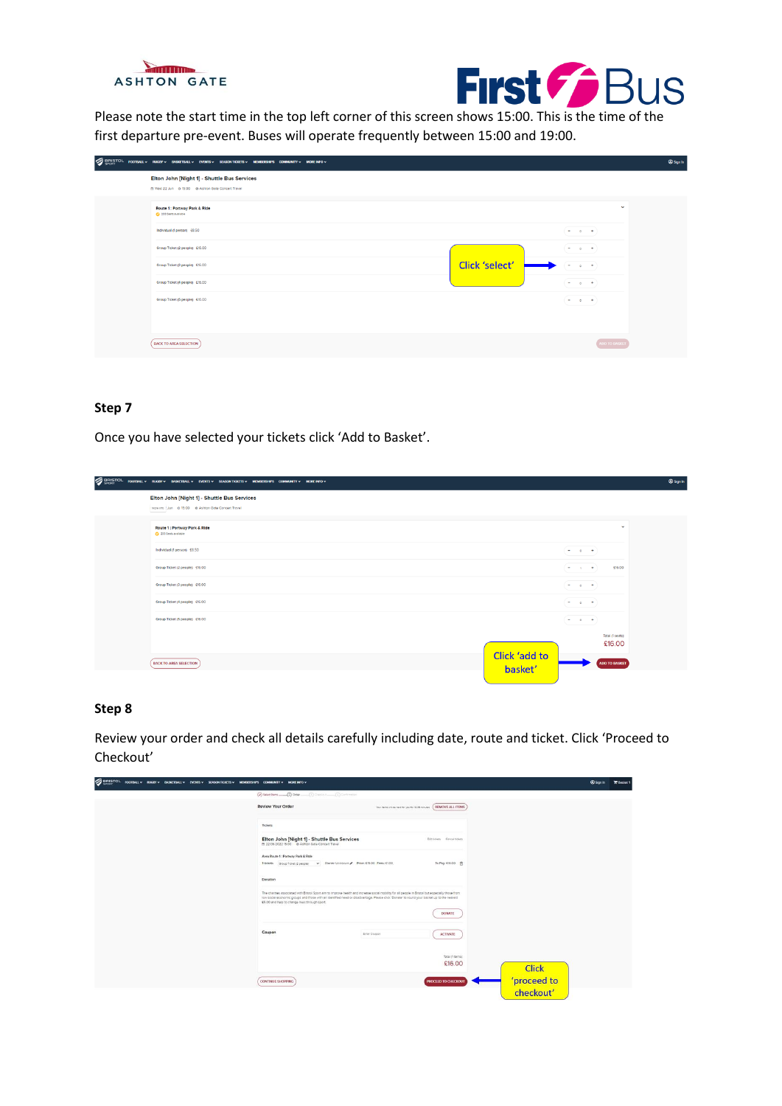



Please note the start time in the top left corner of this screen shows 15:00. This is the time of the first departure pre-event. Buses will operate frequently between 15:00 and 19:00.

| SIRISTOL FOOTBALLY RUGHY BASKETBALLY EVENTSY SEASONTICKETSY MEMBERSHIPS COMMUNITY MOREINFOY      |                                                                                                                                                                                                                                                                                                                                      | <sup><sup>®</sup> Sign in</sup> |
|--------------------------------------------------------------------------------------------------|--------------------------------------------------------------------------------------------------------------------------------------------------------------------------------------------------------------------------------------------------------------------------------------------------------------------------------------|---------------------------------|
| Elton John [Night 1] - Shuttle Bus Services<br>m Wed 22 Jun @ 15:00 @ Ashton Gate Concert Travel |                                                                                                                                                                                                                                                                                                                                      |                                 |
| Route 1: Portway Park & Ride<br>2 233 Seats available                                            | $\checkmark$                                                                                                                                                                                                                                                                                                                         |                                 |
| Individual (1 person) £8.50                                                                      | $\frac{1}{2} \left( \frac{1}{2} \right) \left( \frac{1}{2} \right) \left( \frac{1}{2} \right) \left( \frac{1}{2} \right) \left( \frac{1}{2} \right) \left( \frac{1}{2} \right)$                                                                                                                                                      |                                 |
| Group Ticket (2 people) £16.00                                                                   | $\frac{1}{2} \left( \begin{array}{ccc} 1 & 0 & 0 & 0 \\ 0 & 0 & 0 & 0 \\ 0 & 0 & 0 & 0 \\ 0 & 0 & 0 & 0 \\ 0 & 0 & 0 & 0 \\ 0 & 0 & 0 & 0 \\ 0 & 0 & 0 & 0 \\ 0 & 0 & 0 & 0 \\ 0 & 0 & 0 & 0 \\ 0 & 0 & 0 & 0 \\ 0 & 0 & 0 & 0 & 0 \\ 0 & 0 & 0 & 0 & 0 \\ 0 & 0 & 0 & 0 & 0 \\ 0 & 0 & 0 & 0 & 0 \\ 0 & 0 & 0 & 0 & 0 \\ 0 & 0 & 0$ |                                 |
| Group Ticket (3 people) £16.00                                                                   | <b>Click 'select'</b><br>$  -$                                                                                                                                                                                                                                                                                                       |                                 |
| Group Ticket (4 people) £16.00                                                                   | $  +$                                                                                                                                                                                                                                                                                                                                |                                 |
| Group Ticket (5 people) £16.00                                                                   | $\begin{array}{cccccccccc} \bullet & \bullet & \bullet & \bullet & \bullet \end{array}$                                                                                                                                                                                                                                              |                                 |
|                                                                                                  |                                                                                                                                                                                                                                                                                                                                      |                                 |
| <b>BACK TO AREA SELECTION</b>                                                                    | ADD TO BASKET                                                                                                                                                                                                                                                                                                                        |                                 |

#### **Step 7**

Once you have selected your tickets click 'Add to Basket'.

| <b>SERISTOL</b> | FOOTBALL V RUGBY V BASKETBALL V EVENTS V SEASON TICKETS V MEMIERSHIPS COMMUNITY V MORE INFO V      |                                                                                                                                                                                                                                                                                                                                      | <b>@Sgnin</b> |
|-----------------|----------------------------------------------------------------------------------------------------|--------------------------------------------------------------------------------------------------------------------------------------------------------------------------------------------------------------------------------------------------------------------------------------------------------------------------------------|---------------|
|                 | Elton John [Night 1] - Shuttle Bus Services<br>More Into Edun @ 15:00 @ Ashton Gate Concert Travel |                                                                                                                                                                                                                                                                                                                                      |               |
|                 | Route 1: Portway Park & Ride<br>233 Sents available                                                | $\checkmark$                                                                                                                                                                                                                                                                                                                         |               |
|                 | Individual (1 person) £8.50                                                                        | $-$ 0 $+$                                                                                                                                                                                                                                                                                                                            |               |
|                 | Group Ticket (2 people) £16.00                                                                     | £16.00<br>$\frac{1}{2} \left( \frac{1}{2} \right) \left( \frac{1}{2} \right) \left( \frac{1}{2} \right) \left( \frac{1}{2} \right) \left( \frac{1}{2} \right) \left( \frac{1}{2} \right)$                                                                                                                                            |               |
|                 | Group Ticket (3 people) £16.00                                                                     | $= 0 + 1$                                                                                                                                                                                                                                                                                                                            |               |
|                 | Group Ticket (4 people) £16.00                                                                     | $  +$                                                                                                                                                                                                                                                                                                                                |               |
|                 | Group Ticket (5 people) £16.00                                                                     | $\frac{1}{2} \left( \begin{array}{ccc} 1 & 0 & 0 & 0 \\ 0 & 0 & 0 & 0 \\ 0 & 0 & 0 & 0 \\ 0 & 0 & 0 & 0 \\ 0 & 0 & 0 & 0 \\ 0 & 0 & 0 & 0 \\ 0 & 0 & 0 & 0 \\ 0 & 0 & 0 & 0 \\ 0 & 0 & 0 & 0 \\ 0 & 0 & 0 & 0 \\ 0 & 0 & 0 & 0 & 0 \\ 0 & 0 & 0 & 0 & 0 \\ 0 & 0 & 0 & 0 & 0 \\ 0 & 0 & 0 & 0 & 0 \\ 0 & 0 & 0 & 0 & 0 \\ 0 & 0 & 0$ |               |
|                 |                                                                                                    | Total (1 seats):<br>£16.00                                                                                                                                                                                                                                                                                                           |               |
|                 | <b>Click 'add to</b><br><b>BACK TO AREA SELECTION</b><br>basket'                                   | ADD TO BASKET                                                                                                                                                                                                                                                                                                                        |               |
|                 |                                                                                                    |                                                                                                                                                                                                                                                                                                                                      |               |

#### **Step 8**

Review your order and check all details carefully including date, route and ticket. Click 'Proceed to Checkout'

| <b>SERISTOL</b><br>FOOTBALL V RUGBY V BASKETBALL V EVENTS V SEASON TICKETS V MEMBERSHIPS COMMUNITY V MOREINFO V |                                                                                                                                                                                                                                                                                                                                                 |                                                                     | <b>Sign In</b><br><b>E</b> Basket 1 |
|-----------------------------------------------------------------------------------------------------------------|-------------------------------------------------------------------------------------------------------------------------------------------------------------------------------------------------------------------------------------------------------------------------------------------------------------------------------------------------|---------------------------------------------------------------------|-------------------------------------|
|                                                                                                                 | $\left(\overline{\varphi}\right)$ Select forms $\left(\overline{\Omega}\right)$ Order $\left(\overline{\Omega}\right)$ Diessons $\left(\overline{\Omega}\right)$ Conformation                                                                                                                                                                   |                                                                     |                                     |
|                                                                                                                 | Review Your Order                                                                                                                                                                                                                                                                                                                               | Your fame will be next for you for 10:35 minutes (REMOVE ALL ITEMS) |                                     |
|                                                                                                                 | Tickets                                                                                                                                                                                                                                                                                                                                         |                                                                     |                                     |
|                                                                                                                 | Elton John [Night 1] - Shuttle Bus Services<br>m 22/06/2022 15:00 @ Ashton Gate Concert Travel                                                                                                                                                                                                                                                  | Edit tickets Cencel tickets                                         |                                     |
|                                                                                                                 | Area Route 1: Portway Park & Ride<br>19ckets   Group Ticket (2 people) v   Owner Unknown / Price: £15.00 Fees: £1.00                                                                                                                                                                                                                            | To Pay: 416.00 食                                                    |                                     |
|                                                                                                                 | Donation                                                                                                                                                                                                                                                                                                                                        |                                                                     |                                     |
|                                                                                                                 | The charmes associated with Bristol Sport aim to improve health and increase social mobility for all people in Bristol but especially those from<br>low social economic groups and those with an identified need or disadvantage. Please click 'Donate' to round your basket up to the nearest<br>£5.00 and help to change lives through sport. |                                                                     |                                     |
|                                                                                                                 |                                                                                                                                                                                                                                                                                                                                                 | <b>DONATE</b>                                                       |                                     |
|                                                                                                                 | Coupon<br>Enter Coupon                                                                                                                                                                                                                                                                                                                          | ACTIVATE                                                            |                                     |
|                                                                                                                 |                                                                                                                                                                                                                                                                                                                                                 | Total (1 items):<br>£16.00                                          |                                     |
|                                                                                                                 |                                                                                                                                                                                                                                                                                                                                                 | <b>Click</b>                                                        |                                     |
|                                                                                                                 | <b>CONTINUE SHOPPING</b>                                                                                                                                                                                                                                                                                                                        | 'proceed to<br>checkout'<br><b>PROCEED TO CHECKOUT</b>              |                                     |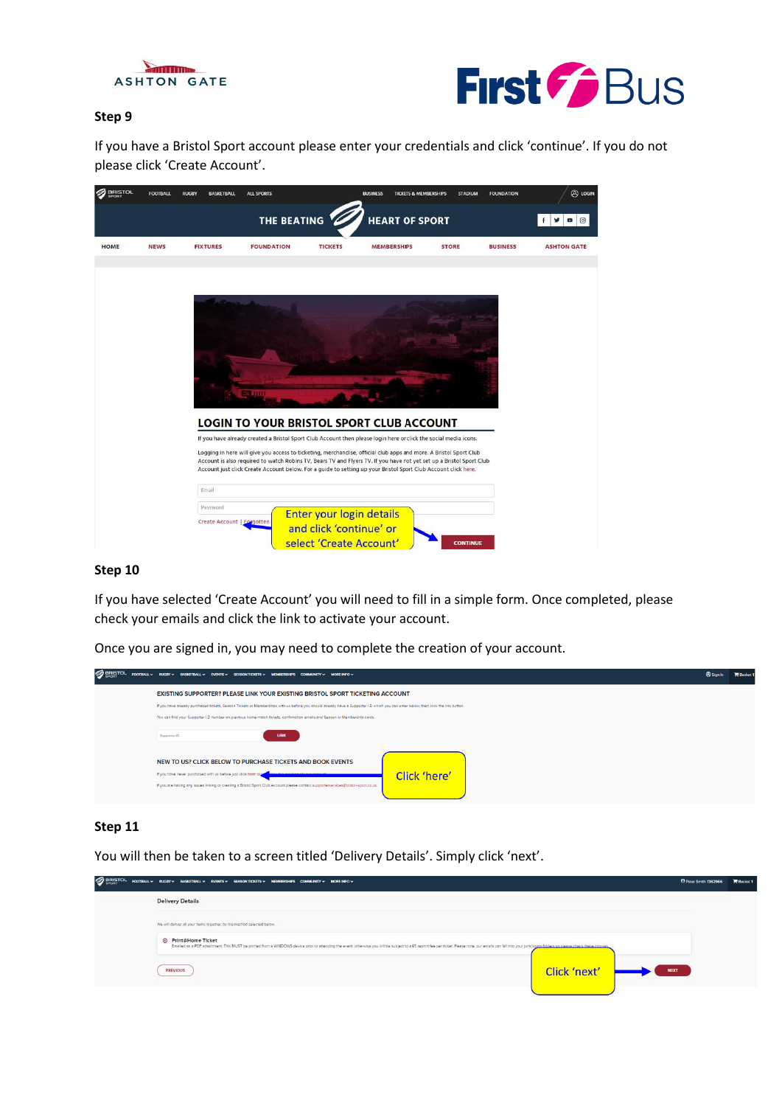



## **Step 9**

If you have a Bristol Sport account please enter your credentials and click 'continue'. If you do not please click 'Create Account'.

| <b>BRISTOL</b> | <b>FOOTBALL</b> | <b>RUGBY</b> | <b>BASKETBALL</b>          | <b>ALL SPORTS</b>                                                                                                                                                                                                                      |                          | <b>BUSINESS</b>       | <b>TICKETS &amp; MEMBERSHIPS</b> | <b>STADIUM</b>  | <b>FOUNDATION</b> | @ LOGIN                               |
|----------------|-----------------|--------------|----------------------------|----------------------------------------------------------------------------------------------------------------------------------------------------------------------------------------------------------------------------------------|--------------------------|-----------------------|----------------------------------|-----------------|-------------------|---------------------------------------|
|                |                 |              |                            | THE BEATING                                                                                                                                                                                                                            |                          | <b>HEART OF SPORT</b> |                                  |                 |                   | $\circledcirc$<br>f<br>v<br>$\bullet$ |
| <b>HOME</b>    | <b>NEWS</b>     |              | <b>FIXTURES</b>            | <b>FOUNDATION</b>                                                                                                                                                                                                                      | <b>TICKETS</b>           | <b>MEMBERSHIPS</b>    | <b>STORE</b>                     |                 | <b>BUSINESS</b>   | <b>ASHTON GATE</b>                    |
|                |                 |              |                            |                                                                                                                                                                                                                                        |                          |                       |                                  |                 |                   |                                       |
|                |                 |              |                            |                                                                                                                                                                                                                                        |                          |                       |                                  |                 |                   |                                       |
|                |                 |              |                            |                                                                                                                                                                                                                                        |                          |                       |                                  |                 |                   |                                       |
|                |                 |              |                            |                                                                                                                                                                                                                                        |                          |                       |                                  |                 |                   |                                       |
|                |                 |              |                            |                                                                                                                                                                                                                                        |                          |                       |                                  |                 |                   |                                       |
|                |                 |              |                            | <b>BELIUM</b>                                                                                                                                                                                                                          |                          |                       |                                  |                 |                   |                                       |
|                |                 |              |                            | <b>LOGIN TO YOUR BRISTOL SPORT CLUB ACCOUNT</b>                                                                                                                                                                                        |                          |                       |                                  |                 |                   |                                       |
|                |                 |              |                            | If you have already created a Bristol Sport Club Account then please login here or click the social media icons.<br>Logging in here will give you access to ticketing, merchandise, official club apps and more. A Bristol Sport Club  |                          |                       |                                  |                 |                   |                                       |
|                |                 |              |                            | Account is also required to watch Robins TV, Bears TV and Flyers TV. If you have not yet set up a Bristol Sport Club<br>Account just click Create Account below. For a guide to setting up your Bristol Sport Club Account click here. |                          |                       |                                  |                 |                   |                                       |
|                |                 |              | Email                      |                                                                                                                                                                                                                                        |                          |                       |                                  |                 |                   |                                       |
|                |                 |              | Password                   |                                                                                                                                                                                                                                        | Enter your login details |                       |                                  |                 |                   |                                       |
|                |                 |              | Create Account   Eorgotten |                                                                                                                                                                                                                                        | and click 'continue' or  |                       |                                  |                 |                   |                                       |
|                |                 |              |                            |                                                                                                                                                                                                                                        | select 'Create Account'  |                       |                                  | <b>CONTINUE</b> |                   |                                       |

#### **Step 10**

If you have selected 'Create Account' you will need to fill in a simple form. Once completed, please check your emails and click the link to activate your account.

Once you are signed in, you may need to complete the creation of your account.

| <b>SERISTOL</b> | FOOTBALL V RUGBY V BASKETBALL V EVENTS V SEASON TICKETS V MEMBERSHIPS COMMUNITY V MORE INFO V                                                                                                                                                                      |                                                                                                                                                                                    | <b>@Sign In</b> | $R$ acko |
|-----------------|--------------------------------------------------------------------------------------------------------------------------------------------------------------------------------------------------------------------------------------------------------------------|------------------------------------------------------------------------------------------------------------------------------------------------------------------------------------|-----------------|----------|
|                 |                                                                                                                                                                                                                                                                    | EXISTING SUPPORTER? PLEASE LINK YOUR EXISTING BRISTOL SPORT TICKETING ACCOUNT                                                                                                      |                 |          |
|                 | You can find your Supporter I.D number on previous home match tickets, confirmation emails and Season or Membership cards.                                                                                                                                         | If you have already purchased tickets, Season Tickets or Memberships with us before you should already have a Supporter I.D which you can enter below, then click the link button. |                 |          |
|                 | Supporter ID                                                                                                                                                                                                                                                       | <b>LINK</b>                                                                                                                                                                        |                 |          |
|                 | NEW TO US? CLICK BELOW TO PURCHASE TICKETS AND BOOK EVENTS<br>If you have never purchased with us before just click here to<br>If you are having any issues linking or creating a Bristol Sport Club Account please contact supporterservices@bristol-sport.co.uk. | Click 'here'                                                                                                                                                                       |                 |          |

## **Step 11**

You will then be taken to a screen titled 'Delivery Details'. Simply click 'next'.

| <b>SPORTOL</b> | FOOTBALL V RUGBY V BASKETBALL V EVENTS V SEASON TICKETS V MEMBERSHIPS COMMUNITY V MORE INFO V                                                                                                                                                                |              | <b>4 Peter Smith 1362966</b> | <b>Basket 1</b> |
|----------------|--------------------------------------------------------------------------------------------------------------------------------------------------------------------------------------------------------------------------------------------------------------|--------------|------------------------------|-----------------|
|                | <b>Delivery Details</b>                                                                                                                                                                                                                                      |              |                              |                 |
|                | We will deliver all your items together, by the method selected below.                                                                                                                                                                                       |              |                              |                 |
|                | <b>E</b> Print@Home Ticket<br>Emailed as a PDF attachment. This MUST be printed from a WINDOWS device prior to attending the event, otherwise you will be subject to a £5 reprint fee per ticket. Please on the motis can fail into your junk/span folders o |              |                              |                 |
|                | <b>PREVIOUS</b>                                                                                                                                                                                                                                              | Click 'next' | <b>NEXT</b>                  |                 |
|                |                                                                                                                                                                                                                                                              |              |                              |                 |